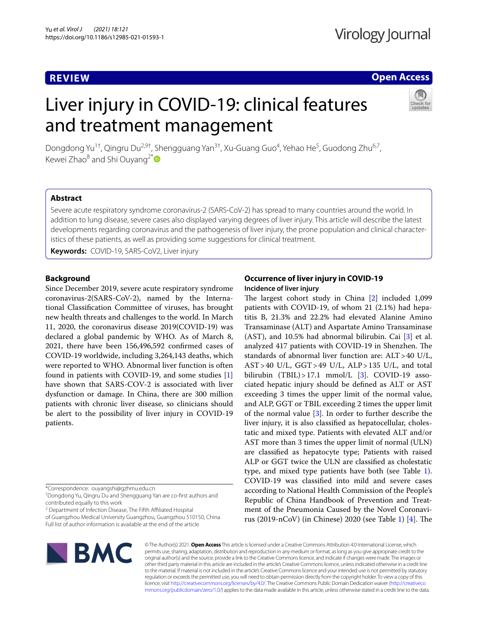## **REVIEW**

## **Open Access**

# Liver injury in COVID-19: clinical features and treatment management



Dongdong Yu<sup>1†</sup>, Qingru Du<sup>2,9†</sup>, Shengguang Yan<sup>3†</sup>, Xu-Guang Guo<sup>4</sup>, Yehao He<sup>5</sup>, Guodong Zhu<sup>6,7</sup>, Kewei Zhao $^8$  and Shi Ouyang<sup>2[\\*](http://orcid.org/0000-0003-0173-3276)</sup>

## **Abstract**

Severe acute respiratory syndrome coronavirus-2 (SARS-CoV-2) has spread to many countries around the world. In addition to lung disease, severe cases also displayed varying degrees of liver injury. This article will describe the latest developments regarding coronavirus and the pathogenesis of liver injury, the prone population and clinical characteristics of these patients, as well as providing some suggestions for clinical treatment.

**Keywords:** COVID-19, SARS-CoV2, Liver injury

## **Background**

Since December 2019, severe acute respiratory syndrome coronavirus-2(SARS-CoV-2), named by the International Classifcation Committee of viruses, has brought new health threats and challenges to the world. In March 11, 2020, the coronavirus disease 2019(COVID-19) was declared a global pandemic by WHO. As of March 8, 2021, there have been 156,496,592 confrmed cases of COVID-19 worldwide, including 3,264,143 deaths, which were reported to WHO. Abnormal liver function is often found in patients with COVID-19, and some studies [\[1](#page-7-0)] have shown that SARS-COV-2 is associated with liver dysfunction or damage. In China, there are 300 million patients with chronic liver disease, so clinicians should be alert to the possibility of liver injury in COVID-19 patients.

\*Correspondence: ouyangshi@gzhmu.edu.cn

† Dongdong Yu, Qingru Du and Shengguang Yan are co-frst authors and contributed equally to this work

<sup>2</sup> Department of Infection Disease, The Fifth Affiliated Hospital of Guangzhou Medical University Guangzhou, Guangzhou 510150, China Full list of author information is available at the end of the article

## **Occurrence of liver injury in COVID‑19 Incidence of liver injury**

The largest cohort study in China  $[2]$  $[2]$  included 1,099 patients with COVID-19, of whom 21 (2.1%) had hepatitis B, 21.3% and 22.2% had elevated Alanine Amino Transaminase (ALT) and Aspartate Amino Transaminase (AST), and 10.5% had abnormal bilirubin. Cai [\[3](#page-7-2)] et al. analyzed 417 patients with COVID-19 in Shenzhen. The standards of abnormal liver function are: ALT>40 U/L,  $AST > 40$  U/L,  $GGT > 49$  U/L,  $ALP > 135$  U/L, and total bilirubin  $(TBIL) > 17.1$  mmol/L [[3\]](#page-7-2). COVID-19 associated hepatic injury should be defned as ALT or AST exceeding 3 times the upper limit of the normal value, and ALP, GGT or TBIL exceeding 2 times the upper limit of the normal value [\[3\]](#page-7-2). In order to further describe the liver injury, it is also classifed as hepatocellular, cholestatic and mixed type. Patients with elevated ALT and/or AST more than 3 times the upper limit of normal (ULN) are classifed as hepatocyte type; Patients with raised ALP or GGT twice the ULN are classifed as cholestatic type, and mixed type patients have both (see Table [1](#page-1-0)). COVID-19 was classifed into mild and severe cases according to National Health Commission of the People's Republic of China Handbook of Prevention and Treatment of the Pneumonia Caused by the Novel Coronavi-rus (2019-nCoV) (in Chinese) 2020 (see Table [1\)](#page-1-0) [\[4](#page-7-3)]. The



© The Author(s) 2021. **Open Access** This article is licensed under a Creative Commons Attribution 4.0 International License, which permits use, sharing, adaptation, distribution and reproduction in any medium or format, as long as you give appropriate credit to the original author(s) and the source, provide a link to the Creative Commons licence, and indicate if changes were made. The images or other third party material in this article are included in the article's Creative Commons licence, unless indicated otherwise in a credit line to the material. If material is not included in the article's Creative Commons licence and your intended use is not permitted by statutory regulation or exceeds the permitted use, you will need to obtain permission directly from the copyright holder. To view a copy of this licence, visit [http://creativecommons.org/licenses/by/4.0/.](http://creativecommons.org/licenses/by/4.0/) The Creative Commons Public Domain Dedication waiver ([http://creativeco](http://creativecommons.org/publicdomain/zero/1.0/) [mmons.org/publicdomain/zero/1.0/](http://creativecommons.org/publicdomain/zero/1.0/)) applies to the data made available in this article, unless otherwise stated in a credit line to the data.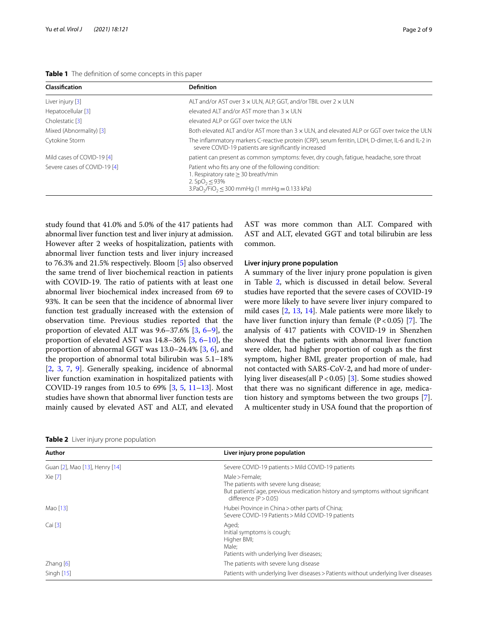<span id="page-1-0"></span>

| Table 1 The definition of some concepts in this paper |
|-------------------------------------------------------|
|-------------------------------------------------------|

| Classification               | <b>Definition</b>                                                                                                                                                       |
|------------------------------|-------------------------------------------------------------------------------------------------------------------------------------------------------------------------|
| Liver injury [3]             | ALT and/or AST over $3 \times$ ULN, ALP, GGT, and/or TBIL over $2 \times$ ULN                                                                                           |
| Hepatocellular [3]           | elevated ALT and/or AST more than $3 \times$ ULN                                                                                                                        |
| Cholestatic [3]              | elevated ALP or GGT over twice the ULN                                                                                                                                  |
| Mixed (Abnormality) [3]      | Both elevated ALT and/or AST more than $3 \times$ ULN, and elevated ALP or GGT over twice the ULN                                                                       |
| Cytokine Storm               | The inflammatory markers C-reactive protein (CRP), serum ferritin, LDH, D-dimer, IL-6 and IL-2 in<br>severe COVID-19 patients are significantly increased               |
| Mild cases of COVID-19 [4]   | patient can present as common symptoms: fever, dry cough, fatigue, headache, sore throat                                                                                |
| Severe cases of COVID-19 [4] | Patient who fits any one of the following condition:<br>1. Respiratory rate $\geq$ 30 breath/min<br>2. $SpO_2$ < 93%<br>$3.PaO2/FiO2 \le 300$ mmHg (1 mmHg = 0.133 kPa) |

study found that 41.0% and 5.0% of the 417 patients had abnormal liver function test and liver injury at admission. However after 2 weeks of hospitalization, patients with abnormal liver function tests and liver injury increased to 76.3% and 21.5% respectively. Bloom [[5\]](#page-7-4) also observed the same trend of liver biochemical reaction in patients with COVID-19. The ratio of patients with at least one abnormal liver biochemical index increased from 69 to 93%. It can be seen that the incidence of abnormal liver function test gradually increased with the extension of observation time. Previous studies reported that the proportion of elevated ALT was 9.6–37.6% [\[3](#page-7-2), [6–](#page-7-5)[9\]](#page-7-6), the proportion of elevated AST was 14.8–36% [\[3](#page-7-2), [6](#page-7-5)[–10](#page-7-7)], the proportion of abnormal GGT was 13.0–24.4% [\[3](#page-7-2), [6](#page-7-5)], and the proportion of abnormal total bilirubin was 5.1–18% [[2,](#page-7-1) [3](#page-7-2), [7,](#page-7-8) [9](#page-7-6)]. Generally speaking, incidence of abnormal liver function examination in hospitalized patients with COVID-19 ranges from 10.5 to 69% [[3,](#page-7-2) [5](#page-7-4), [11–](#page-7-9)[13](#page-7-10)]. Most studies have shown that abnormal liver function tests are mainly caused by elevated AST and ALT, and elevated

AST was more common than ALT. Compared with AST and ALT, elevated GGT and total bilirubin are less common.

## **Liver injury prone population**

A summary of the liver injury prone population is given in Table [2,](#page-1-1) which is discussed in detail below. Several studies have reported that the severe cases of COVID-19 were more likely to have severe liver injury compared to mild cases [\[2](#page-7-1), [13,](#page-7-10) [14\]](#page-7-11). Male patients were more likely to have liver function injury than female  $(P < 0.05)$  [\[7](#page-7-8)]. The analysis of 417 patients with COVID-19 in Shenzhen showed that the patients with abnormal liver function were older, had higher proportion of cough as the frst symptom, higher BMI, greater proportion of male, had not contacted with SARS-CoV-2, and had more of underlying liver diseases(all P<0.05) [[3\]](#page-7-2). Some studies showed that there was no signifcant diference in age, medication history and symptoms between the two groups [\[7](#page-7-8)]. A multicenter study in USA found that the proportion of

<span id="page-1-1"></span>

| Author                         | Liver injury prone population                                                                                                                                          |
|--------------------------------|------------------------------------------------------------------------------------------------------------------------------------------------------------------------|
| Guan [2], Mao [13], Henry [14] | Severe COVID-19 patients > Mild COVID-19 patients                                                                                                                      |
| Xie [7]                        | Male > Female:<br>The patients with severe lung disease;<br>But patients' age, previous medication history and symptoms without significant<br>difference $(P > 0.05)$ |
| Mao [13]                       | Hubei Province in China > other parts of China;<br>Severe COVID-19 Patients > Mild COVID-19 patients                                                                   |
| Cai [3]                        | Aged;<br>Initial symptoms is cough;<br>Higher BMI;<br>Male:<br>Patients with underlying liver diseases;                                                                |
| $Z$ hang $[6]$                 | The patients with severe lung disease                                                                                                                                  |
| Singh [15]                     | Patients with underlying liver diseases > Patients without underlying liver diseases                                                                                   |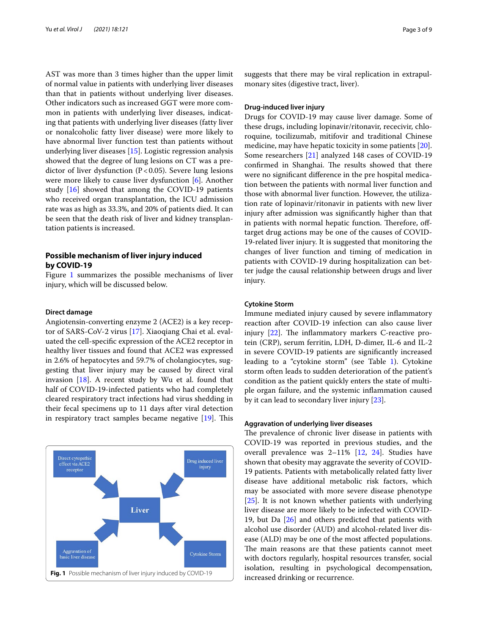AST was more than 3 times higher than the upper limit of normal value in patients with underlying liver diseases than that in patients without underlying liver diseases. Other indicators such as increased GGT were more common in patients with underlying liver diseases, indicating that patients with underlying liver diseases (fatty liver or nonalcoholic fatty liver disease) were more likely to have abnormal liver function test than patients without underlying liver diseases [\[15\]](#page-7-12). Logistic regression analysis showed that the degree of lung lesions on CT was a predictor of liver dysfunction  $(P<0.05)$ . Severe lung lesions were more likely to cause liver dysfunction [[6](#page-7-5)]. Another study [\[16\]](#page-7-13) showed that among the COVID-19 patients who received organ transplantation, the ICU admission rate was as high as 33.3%, and 20% of patients died. It can be seen that the death risk of liver and kidney transplantation patients is increased.

## **Possible mechanism of liver injury induced by COVID‑19**

Figure [1](#page-2-0) summarizes the possible mechanisms of liver injury, which will be discussed below.

#### **Direct damage**

Angiotensin-converting enzyme 2 (ACE2) is a key receptor of SARS-CoV-2 virus [\[17](#page-7-14)]. Xiaoqiang Chai et al. evaluated the cell-specifc expression of the ACE2 receptor in healthy liver tissues and found that ACE2 was expressed in 2.6% of hepatocytes and 59.7% of cholangiocytes, suggesting that liver injury may be caused by direct viral invasion  $[18]$  $[18]$  $[18]$ . A recent study by Wu et al. found that half of COVID-19-infected patients who had completely cleared respiratory tract infections had virus shedding in their fecal specimens up to 11 days after viral detection in respiratory tract samples became negative  $[19]$  $[19]$ . This

<span id="page-2-0"></span>

suggests that there may be viral replication in extrapulmonary sites (digestive tract, liver).

#### **Drug‑induced liver injury**

Drugs for COVID-19 may cause liver damage. Some of these drugs, including lopinavir/ritonavir, rececivir, chloroquine, tocilizumab, mitifovir and traditional Chinese medicine, may have hepatic toxicity in some patients [\[20](#page-7-17)]. Some researchers [[21\]](#page-7-18) analyzed 148 cases of COVID-19 confirmed in Shanghai. The results showed that there were no signifcant diference in the pre hospital medication between the patients with normal liver function and those with abnormal liver function. However, the utilization rate of lopinavir/ritonavir in patients with new liver injury after admission was signifcantly higher than that in patients with normal hepatic function. Therefore, offtarget drug actions may be one of the causes of COVID-19-related liver injury. It is suggested that monitoring the changes of liver function and timing of medication in patients with COVID-19 during hospitalization can better judge the causal relationship between drugs and liver injury.

#### **Cytokine Storm**

Immune mediated injury caused by severe infammatory reaction after COVID-19 infection can also cause liver injury  $[22]$  $[22]$ . The inflammatory markers C-reactive protein (CRP), serum ferritin, LDH, D-dimer, IL-6 and IL-2 in severe COVID-19 patients are signifcantly increased leading to a "cytokine storm" (see Table [1](#page-1-0)). Cytokine storm often leads to sudden deterioration of the patient's condition as the patient quickly enters the state of multiple organ failure, and the systemic infammation caused by it can lead to secondary liver injury [[23](#page-7-20)].

## **Aggravation of underlying liver diseases**

The prevalence of chronic liver disease in patients with COVID-19 was reported in previous studies, and the overall prevalence was 2–11% [\[12](#page-7-21), [24](#page-7-22)]. Studies have shown that obesity may aggravate the severity of COVID-19 patients. Patients with metabolically related fatty liver disease have additional metabolic risk factors, which may be associated with more severe disease phenotype [[25\]](#page-7-23). It is not known whether patients with underlying liver disease are more likely to be infected with COVID-19, but Da [\[26](#page-7-24)] and others predicted that patients with alcohol use disorder (AUD) and alcohol-related liver disease (ALD) may be one of the most afected populations. The main reasons are that these patients cannot meet with doctors regularly, hospital resources transfer, social isolation, resulting in psychological decompensation,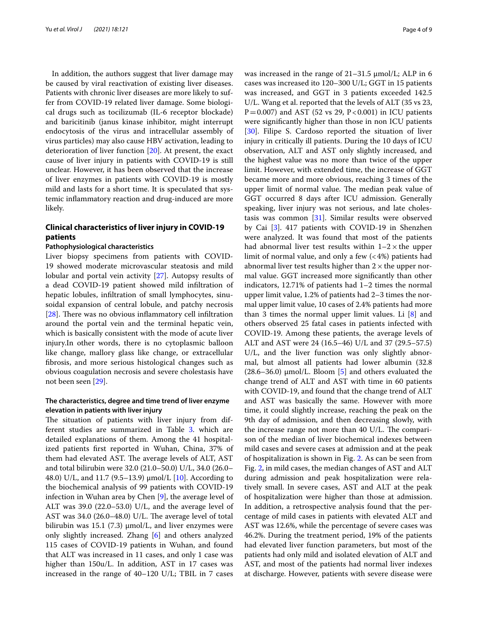In addition, the authors suggest that liver damage may be caused by viral reactivation of existing liver diseases. Patients with chronic liver diseases are more likely to suffer from COVID-19 related liver damage. Some biological drugs such as tocilizumab (IL-6 receptor blockade) and baricitinib (janus kinase inhibitor, might interrupt endocytosis of the virus and intracellular assembly of virus particles) may also cause HBV activation, leading to deterioration of liver function [\[20](#page-7-17)]. At present, the exact cause of liver injury in patients with COVID-19 is still unclear. However, it has been observed that the increase of liver enzymes in patients with COVID-19 is mostly mild and lasts for a short time. It is speculated that systemic infammatory reaction and drug-induced are more likely.

## **Clinical characteristics of liver injury in COVID‑19 patients**

#### **Pathophysiological characteristics**

Liver biopsy specimens from patients with COVID-19 showed moderate microvascular steatosis and mild lobular and portal vein activity [[27\]](#page-7-25). Autopsy results of a dead COVID-19 patient showed mild infltration of hepatic lobules, infltration of small lymphocytes, sinusoidal expansion of central lobule, and patchy necrosis [ $28$ ]. There was no obvious inflammatory cell infiltration around the portal vein and the terminal hepatic vein, which is basically consistent with the mode of acute liver injury.In other words, there is no cytoplasmic balloon like change, mallory glass like change, or extracellular fbrosis, and more serious histological changes such as obvious coagulation necrosis and severe cholestasis have not been seen [[29\]](#page-7-27).

## **The characteristics, degree and time trend of liver enzyme elevation in patients with liver injury**

The situation of patients with liver injury from dif-ferent studies are summarized in Table [3](#page-4-0). which are detailed explanations of them. Among the 41 hospitalized patients frst reported in Wuhan, China, 37% of them had elevated AST. The average levels of ALT, AST and total bilirubin were 32.0 (21.0–50.0) U/L, 34.0 (26.0– 48.0) U/L, and 11.7 (9.5–13.9) μmol/L [\[10\]](#page-7-7). According to the biochemical analysis of 99 patients with COVID-19 infection in Wuhan area by Chen [\[9](#page-7-6)], the average level of ALT was 39.0 (22.0–53.0) U/L, and the average level of AST was  $34.0$  (26.0–48.0) U/L. The average level of total bilirubin was 15.1 (7.3)  $\mu$ mol/L, and liver enzymes were only slightly increased. Zhang [\[6](#page-7-5)] and others analyzed 115 cases of COVID-19 patients in Wuhan, and found that ALT was increased in 11 cases, and only 1 case was higher than 150u/L. In addition, AST in 17 cases was increased in the range of 40–120 U/L; TBIL in 7 cases was increased in the range of 21–31.5 μmol/L; ALP in 6 cases was increased ito 120–300 U/L; GGT in 15 patients was increased, and GGT in 3 patients exceeded 142.5 U/L. Wang et al. reported that the levels of ALT (35 vs 23,  $P=0.007$ ) and AST (52 vs 29, P < 0.001) in ICU patients were signifcantly higher than those in non ICU patients [[30\]](#page-7-28). Filipe S. Cardoso reported the situation of liver injury in critically ill patients. During the 10 days of ICU observation, ALT and AST only slightly increased, and the highest value was no more than twice of the upper limit. However, with extended time, the increase of GGT became more and more obvious, reaching 3 times of the upper limit of normal value. The median peak value of GGT occurred 8 days after ICU admission. Generally speaking, liver injury was not serious, and late cholestasis was common [[31\]](#page-8-0). Similar results were observed by Cai [[3\]](#page-7-2). 417 patients with COVID-19 in Shenzhen were analyzed. It was found that most of the patients had abnormal liver test results within  $1-2 \times$  the upper limit of normal value, and only a few  $\left($  < 4%) patients had abnormal liver test results higher than  $2 \times$  the upper normal value. GGT increased more signifcantly than other indicators, 12.71% of patients had 1–2 times the normal upper limit value, 1.2% of patients had 2–3 times the normal upper limit value, 10 cases of 2.4% patients had more than 3 times the normal upper limit values. Li [\[8](#page-7-29)] and others observed 25 fatal cases in patients infected with COVID-19. Among these patients, the average levels of ALT and AST were 24 (16.5–46) U/L and 37 (29.5–57.5) U/L, and the liver function was only slightly abnormal, but almost all patients had lower albumin (32.8  $(28.6-36.0)$  µmol/L. Bloom [\[5](#page-7-4)] and others evaluated the change trend of ALT and AST with time in 60 patients with COVID-19, and found that the change trend of ALT and AST was basically the same. However with more time, it could slightly increase, reaching the peak on the 9th day of admission, and then decreasing slowly, with the increase range not more than  $40 \text{ U/L}$ . The comparison of the median of liver biochemical indexes between mild cases and severe cases at admission and at the peak of hospitalization is shown in Fig. [2](#page-5-0). As can be seen from Fig. [2,](#page-5-0) in mild cases, the median changes of AST and ALT during admission and peak hospitalization were relatively small. In severe cases, AST and ALT at the peak of hospitalization were higher than those at admission. In addition, a retrospective analysis found that the percentage of mild cases in patients with elevated ALT and AST was 12.6%, while the percentage of severe cases was 46.2%. During the treatment period, 19% of the patients had elevated liver function parameters, but most of the patients had only mild and isolated elevation of ALT and AST, and most of the patients had normal liver indexes at discharge. However, patients with severe disease were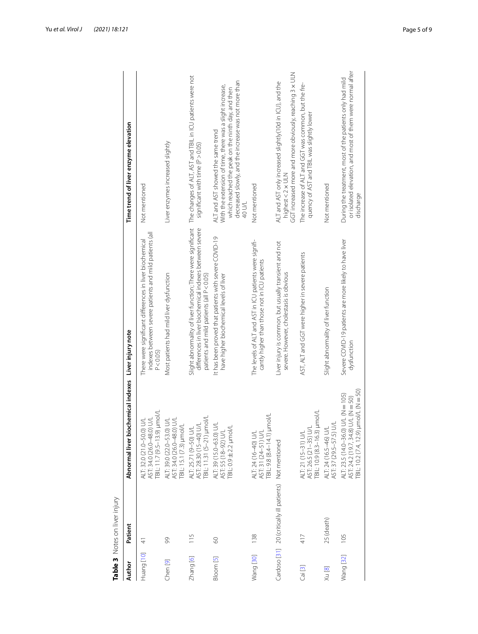<span id="page-4-0"></span>

| י<br>ייי וויר  |
|----------------|
|                |
| ັດ             |
| $\bar{5}$<br>ā |
| ں<br>م<br>ز    |
| m<br>٦         |
| Ų              |
| ı              |

|            | Table 3 Notes on liver injury                           |                                                                                                                                 |                                                                                                                                                                         |                                                                                                                                                                                                                      |
|------------|---------------------------------------------------------|---------------------------------------------------------------------------------------------------------------------------------|-------------------------------------------------------------------------------------------------------------------------------------------------------------------------|----------------------------------------------------------------------------------------------------------------------------------------------------------------------------------------------------------------------|
| Author     | Patient                                                 | Abnormal liver biochemical indexes Liver injury note                                                                            |                                                                                                                                                                         | Time trend of liver enzyme elevation                                                                                                                                                                                 |
| Huang [10] | $\stackrel{\textstyle{+}}{\textstyle{+}}$               | FBIL: 11.7 (9.5-13.9) µmol/L<br>$\leq$<br><b>NU</b><br>ALT: 32.0 (21.0-50.0)<br>AST: 34.0 (26.0-48.0)                           | indexes between severe patients and mild patients (all<br>There were significant differences in liver biochemical<br>P < 0.05                                           | Not mentioned                                                                                                                                                                                                        |
| Chen [9]   | 99                                                      | S<br>$\geq$<br>TBIL: 15.1 (7.3) µmol/L<br>ALT: 39.0 (22.0-53.0)<br>AST: 34.0 (26.0-48.0)                                        | Most patients had mild liver dysfunction                                                                                                                                | Liver enzymes increased slightly                                                                                                                                                                                     |
| Zhang [6]  | $\frac{5}{1}$                                           | TBIL: 11.31 (5-21) µmol/L<br>ALT: 25.71 (9-50) U/L<br>AST: 28.30 (15-40) U/L                                                    | Slight abnormality of liver function; There were significant<br>differences in liver biochemical indexes between severe<br>patients and mild patients (all $P < 0.05$ ) | The changes of ALT, AST and TBIL in ICU patients were not<br>significant with time (P > 0.05)                                                                                                                        |
| Bloom [5]  | 80                                                      | ALT: 39 (15.0-63.0) U/L<br>TBIL: 0.9 ± 2.2 µmol/L<br>AST: 55 (18-92) U/L                                                        | It has been proved that patients with severe COVID-19<br>have higher biochemical levels of liver                                                                        | decreased slowly, and the increase was not more than<br>With the extension of time, there was a slight increase,<br>which reached the peak on the ninth day, and then<br>ALT and AST showed the same trend<br>40 U/L |
| Wang [30]  | 138                                                     | 1/lom<br>TBIL: 9.8 (8.4-14.1) µr<br>ALT: 24 (16-40) U/L<br>AST: 31 (24-51) U/L                                                  | The levels of ALT and AST in ICU patients were signifi-<br>cantly higher than those not in ICU patients                                                                 | Not mentioned                                                                                                                                                                                                        |
|            | Cardoso [31] 20 (critically ill patients) Not mentioned |                                                                                                                                 | Liver injury is common, but usually transient and not<br>severe. However, cholestasis is obvious                                                                        | GGT increased more and more obviously, reaching 3 x ULN<br>ALT and AST only increased slightly(10d in ICU), and the<br>highest<2 x ULN                                                                               |
| Cai [3]    | 417                                                     | AST: 26.5 (21–35) U/L<br>TBIL: 10.9 (8.3–16.3) µmol/L<br>ALT: 21 (15-31) U/L                                                    | AST, ALT and GGT were higher in severe patients                                                                                                                         | The increase of ALT and GGT was common, but the fre-<br>quency of AST and TBIL was slightly lower                                                                                                                    |
| Xu [8]     | 25 (death)                                              | AST: 37 (29.5-57.5) U/L<br>ALT: 24 (16.5-46) U/L                                                                                | Slight abnormality of liver function                                                                                                                                    | Not mentioned                                                                                                                                                                                                        |
| Wang [32]  | 105                                                     | $[B L: 10.2 (7.4, 12.9) \mu m o/L (N = 50)$<br>$U/L$ (N = 105)<br>U/L (N=50)<br>ALT: 23.5 (14.0-36.0)<br>AST: 24.2 (19.7, 34.8) | Severe COVID-19 patients are more likely to have liver<br>dysfunction                                                                                                   | or isolated elevation, and most of them were normal after<br>During the treatment, most of the patients only had mild<br>discharge                                                                                   |
|            |                                                         |                                                                                                                                 |                                                                                                                                                                         |                                                                                                                                                                                                                      |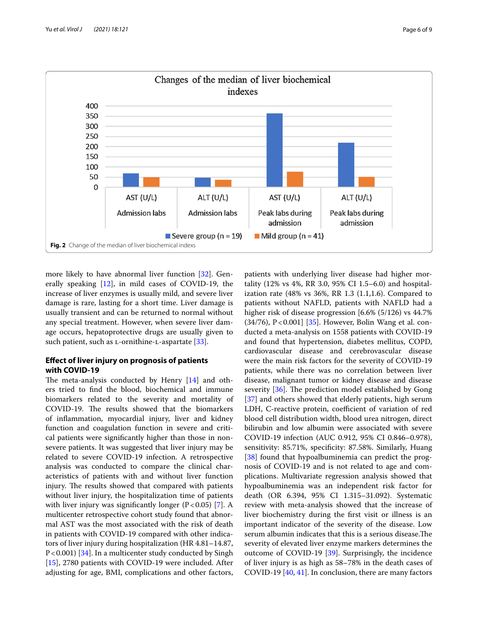

<span id="page-5-0"></span>more likely to have abnormal liver function [\[32](#page-8-1)]. Generally speaking [\[12](#page-7-21)], in mild cases of COVID-19, the increase of liver enzymes is usually mild, and severe liver damage is rare, lasting for a short time. Liver damage is usually transient and can be returned to normal without any special treatment. However, when severe liver damage occurs, hepatoprotective drugs are usually given to such patient, such as L-ornithine-L-aspartate [[33](#page-8-2)].

## **Efect of liver injury on prognosis of patients with COVID‑19**

The meta-analysis conducted by Henry  $[14]$  $[14]$  and others tried to fnd the blood, biochemical and immune biomarkers related to the severity and mortality of COVID-19. The results showed that the biomarkers of infammation, myocardial injury, liver and kidney function and coagulation function in severe and critical patients were signifcantly higher than those in nonsevere patients. It was suggested that liver injury may be related to severe COVID-19 infection. A retrospective analysis was conducted to compare the clinical characteristics of patients with and without liver function injury. The results showed that compared with patients without liver injury, the hospitalization time of patients with liver injury was significantly longer  $(P < 0.05)$  [\[7](#page-7-8)]. A multicenter retrospective cohort study found that abnormal AST was the most associated with the risk of death in patients with COVID-19 compared with other indicators of liver injury during hospitalization (HR 4.81–14.87, P<0.001) [[34](#page-8-3)]. In a multicenter study conducted by Singh [[15\]](#page-7-12), 2780 patients with COVID-19 were included. After adjusting for age, BMI, complications and other factors,

patients with underlying liver disease had higher mortality (12% vs 4%, RR 3.0, 95% CI 1.5–6.0) and hospitalization rate (48% vs 36%, RR 1.3 (1.1,1.6). Compared to patients without NAFLD, patients with NAFLD had a higher risk of disease progression [6.6% (5/126) vs 44.7%  $(34/76)$ , P < 0.001] [[35](#page-8-4)]. However, Bolin Wang et al. conducted a meta-analysis on 1558 patients with COVID-19 and found that hypertension, diabetes mellitus, COPD, cardiovascular disease and cerebrovascular disease were the main risk factors for the severity of COVID-19 patients, while there was no correlation between liver disease, malignant tumor or kidney disease and disease severity  $[36]$  $[36]$ . The prediction model established by Gong [[37\]](#page-8-6) and others showed that elderly patients, high serum LDH, C-reactive protein, coefficient of variation of red blood cell distribution width, blood urea nitrogen, direct bilirubin and low albumin were associated with severe COVID-19 infection (AUC 0.912, 95% CI 0.846–0.978), sensitivity: 85.71%, specificity: 87.58%. Similarly, Huang [[38\]](#page-8-7) found that hypoalbuminemia can predict the prognosis of COVID-19 and is not related to age and complications. Multivariate regression analysis showed that hypoalbuminemia was an independent risk factor for death (OR 6.394, 95% CI 1.315–31.092). Systematic review with meta-analysis showed that the increase of liver biochemistry during the frst visit or illness is an important indicator of the severity of the disease. Low serum albumin indicates that this is a serious disease. The severity of elevated liver enzyme markers determines the outcome of COVID-19 [\[39](#page-8-8)]. Surprisingly, the incidence of liver injury is as high as 58–78% in the death cases of COVID-19 [[40](#page-8-9), [41\]](#page-8-10). In conclusion, there are many factors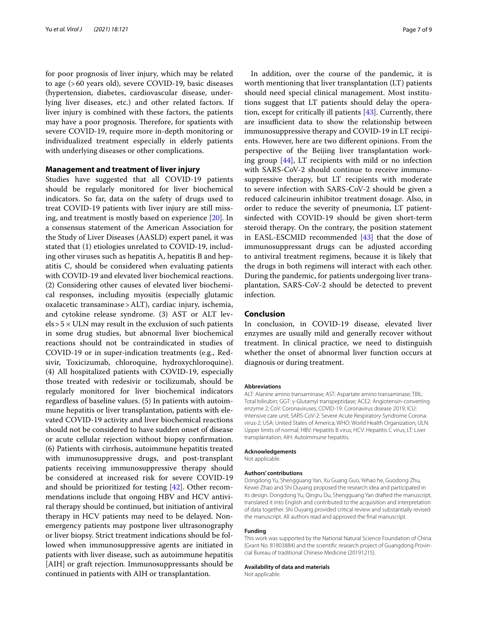for poor prognosis of liver injury, which may be related to age (>60 years old), severe COVID-19, basic diseases (hypertension, diabetes, cardiovascular disease, underlying liver diseases, etc.) and other related factors. If liver injury is combined with these factors, the patients may have a poor prognosis. Therefore, for spatients with severe COVID-19, require more in-depth monitoring or individualized treatment especially in elderly patients with underlying diseases or other complications.

#### **Management and treatment of liver injury**

Studies have suggested that all COVID-19 patients should be regularly monitored for liver biochemical indicators. So far, data on the safety of drugs used to treat COVID-19 patients with liver injury are still missing, and treatment is mostly based on experience [[20\]](#page-7-17). In a consensus statement of the American Association for the Study of Liver Diseases (AASLD) expert panel, it was stated that (1) etiologies unrelated to COVID-19, including other viruses such as hepatitis A, hepatitis B and hepatitis C, should be considered when evaluating patients with COVID-19 and elevated liver biochemical reactions. (2) Considering other causes of elevated liver biochemical responses, including myositis (especially glutamic oxalacetic transaminase>ALT), cardiac injury, ischemia, and cytokine release syndrome. (3) AST or ALT lev $els > 5 \times ULN$  may result in the exclusion of such patients in some drug studies, but abnormal liver biochemical reactions should not be contraindicated in studies of COVID-19 or in super-indication treatments (e.g., Redsivir, Toxicizumab, chloroquine, hydroxychloroquine). (4) All hospitalized patients with COVID-19, especially those treated with redesivir or tocilizumab, should be regularly monitored for liver biochemical indicators regardless of baseline values. (5) In patients with autoimmune hepatitis or liver transplantation, patients with elevated COVID-19 activity and liver biochemical reactions should not be considered to have sudden onset of disease or acute cellular rejection without biopsy confrmation. (6) Patients with cirrhosis, autoimmune hepatitis treated with immunosuppressive drugs, and post-transplant patients receiving immunosuppressive therapy should be considered at increased risk for severe COVID-19 and should be prioritized for testing [[42](#page-8-11)]. Other recommendations include that ongoing HBV and HCV antiviral therapy should be continued, but initiation of antiviral therapy in HCV patients may need to be delayed. Nonemergency patients may postpone liver ultrasonography or liver biopsy. Strict treatment indications should be followed when immunosuppressive agents are initiated in patients with liver disease, such as autoimmune hepatitis [AIH] or graft rejection. Immunosuppressants should be continued in patients with AIH or transplantation.

In addition, over the course of the pandemic, it is worth mentioning that liver transplantation (LT) patients should need special clinical management. Most institutions suggest that LT patients should delay the operation, except for critically ill patients [[43\]](#page-8-12). Currently, there are insufficient data to show the relationship between immunosuppressive therapy and COVID-19 in LT recipients. However, here are two diferent opinions. From the perspective of the Beijing liver transplantation working group [\[44](#page-8-13)], LT recipients with mild or no infection with SARS-CoV-2 should continue to receive immunosuppressive therapy, but LT recipients with moderate to severe infection with SARS-CoV-2 should be given a reduced calcineurin inhibitor treatment dosage. Also, in order to reduce the severity of pneumonia, LT patientsinfected with COVID-19 should be given short-term steroid therapy. On the contrary, the position statement in EASL-ESCMID recommended [\[43](#page-8-12)] that the dose of immunosuppressant drugs can be adjusted according to antiviral treatment regimens, because it is likely that the drugs in both regimens will interact with each other. During the pandemic, for patients undergoing liver transplantation, SARS-CoV-2 should be detected to prevent infection.

#### **Conclusion**

In conclusion, in COVID-19 disease, elevated liver enzymes are usually mild and generally recover without treatment. In clinical practice, we need to distinguish whether the onset of abnormal liver function occurs at diagnosis or during treatment.

#### **Abbreviations**

ALT: Alanine amino transaminase; AST: Aspartate amino transaminase; TBIL: Total bilirubin; GGT: γ-Glutamyl transpeptidase; ACE2: Angiotensin-converting enzyme 2; CoV: Coronaviruses; COVID-19: Coronavirus disease 2019; ICU: Intensive care unit; SARS-CoV-2: Severe Acute Respiratory Syndrome Coronavirus-2; USA: United States of America; WHO: World Health Organization; ULN: Upper limits of normal; HBV: Hepatitis B virus; HCV: Hepatitis C virus; LT: Liver transplantation; AIH: Autoimmune hepatitis.

#### **Acknowledgements**

Not applicable.

#### **Authors' contributions**

Dongdong Yu, Shengguang Yan, Xu Guang Guo, Yehao he, Guodong Zhu, Kewei Zhao and Shi Ouyang proposed the research idea and participated in its design. Dongdong Yu, Qingru Du, Shengguang Yan drafted the manuscript, translated it into English and contributed to the acquisition and interpretation of data together. Shi Ouyang provided critical review and substantially revised the manuscript. All authors read and approved the fnal manuscript.

#### **Funding**

This work was supported by the National Natural Science Foundation of China (Grant No. 81803884) and the scientific research project of Guangdong Provincial Bureau of traditional Chinese Medicine (20191215).

#### **Availability of data and materials**

Not applicable.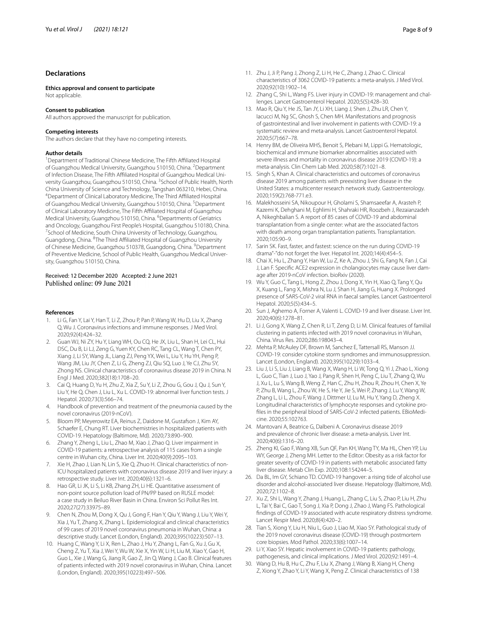### **Declarations**

**Ethics approval and consent to participate** Not applicable.

#### **Consent to publication**

All authors approved the manuscript for publication.

#### **Competing interests**

The authors declare that they have no competing interests.

#### **Author details**

<sup>1</sup> Department of Traditional Chinese Medicine, The Fifth Affiliated Hospital of Guangzhou Medical University, Guangzhou 510150, China. <sup>2</sup>Department of Infection Disease, The Fifth Affiliated Hospital of Guangzhou Medical University Guangzhou, Guangzhou 510150, China. <sup>3</sup>School of Public Health, North China University of Science and Technology, Tangshan 063210, Hebei, China. 4 Department of Clinical Laboratory Medicine, The Third Afliated Hospital of Guangzhou Medical University, Guangzhou 510150, China. <sup>5</sup>Department of Clinical Laboratory Medicine, The Fifth Affiliated Hospital of Guangzhou Medical University, Guangzhou 510150, China. <sup>6</sup>Departments of Geriatrics and Oncology, Guangzhou First People's Hospital, Guangzhou 510180, China. 7 <sup>7</sup>School of Medicine, South China University of Technology, Guangzhou, Guangdong, China. <sup>8</sup>The Third Affiliated Hospital of Guangzhou University of Chinese Medicine, Guangzhou 510378, Guangdong, China. <sup>9</sup>Department of Preventive Medicine, School of Public Health, Guangzhou Medical University, Guangzhou 510150, China.

# Received: 12 December 2020 Accepted: 2 June 2021

#### **References**

- <span id="page-7-0"></span>Li G, Fan Y, Lai Y, Han T, Li Z, Zhou P, Pan P, Wang W, Hu D, Liu X, Zhang Q, Wu J. Coronavirus infections and immune responses. J Med Virol. 2020;92(4):424–32.
- <span id="page-7-1"></span>2. Guan WJ, Ni ZY, Hu Y, Liang WH, Ou CQ, He JX, Liu L, Shan H, Lei CL, Hui DSC, Du B, Li LJ, Zeng G, Yuen KY, Chen RC, Tang CL, Wang T, Chen PY, Xiang J, Li SY, Wang JL, Liang ZJ, Peng YX, Wei L, Liu Y, Hu YH, Peng P, Wang JM, Liu JY, Chen Z, Li G, Zheng ZJ, Qiu SQ, Luo J, Ye CJ, Zhu SY, Zhong NS. Clinical characteristics of coronavirus disease 2019 in China. N Engl J Med. 2020;382(18):1708–20.
- <span id="page-7-2"></span>3. Cai Q, Huang D, Yu H, Zhu Z, Xia Z, Su Y, Li Z, Zhou G, Gou J, Qu J, Sun Y, Liu Y, He Q, Chen J, Liu L, Xu L. COVID-19: abnormal liver function tests. J Hepatol. 2020;73(3):566–74.
- <span id="page-7-3"></span>4. Handbook of prevention and treatment of the pneumonia caused by the novel coronavirus (2019-nCoV).
- <span id="page-7-4"></span>5. Bloom PP, Meyerowitz EA, Reinus Z, Daidone M, Gustafson J, Kim AY, Schaefer E, Chung RT. Liver biochemistries in hospitalized patients with COVID-19. Hepatology (Baltimore, Md). 2020;73:890–900.
- <span id="page-7-5"></span>6. Zhang Y, Zheng L, Liu L, Zhao M, Xiao J, Zhao Q. Liver impairment in COVID-19 patients: a retrospective analysis of 115 cases from a single centre in Wuhan city, China. Liver Int. 2020;40(9):2095–103.
- <span id="page-7-8"></span>7. Xie H, Zhao J, Lian N, Lin S, Xie Q, Zhuo H. Clinical characteristics of non-ICU hospitalized patients with coronavirus disease 2019 and liver injury: a retrospective study. Liver Int. 2020;40(6):1321–6.
- <span id="page-7-29"></span>8. Hao GR, Li JK, Li S, Li KB, Zhang ZH, Li HE. Quantitative assessment of non-point source pollution load of PN/PP based on RUSLE model: a case study in Beiluo River Basin in China. Environ Sci Pollut Res Int. 2020;27(27):33975–89.
- <span id="page-7-6"></span>9. Chen N, Zhou M, Dong X, Qu J, Gong F, Han Y, Qiu Y, Wang J, Liu Y, Wei Y, Xia J, Yu T, Zhang X, Zhang L. Epidemiological and clinical characteristics of 99 cases of 2019 novel coronavirus pneumonia in Wuhan, China: a descriptive study. Lancet (London, England). 2020;395(10223):507–13.
- <span id="page-7-7"></span>10. Huang C, Wang Y, Li X, Ren L, Zhao J, Hu Y, Zhang L, Fan G, Xu J, Gu X, Cheng Z, Yu T, Xia J, Wei Y, Wu W, Xie X, Yin W, Li H, Liu M, Xiao Y, Gao H, Guo L, Xie J, Wang G, Jiang R, Gao Z, Jin Q, Wang J, Cao B. Clinical features of patients infected with 2019 novel coronavirus in Wuhan, China. Lancet (London, England). 2020;395(10223):497–506.
- <span id="page-7-9"></span>11. Zhu J, Ji P, Pang J, Zhong Z, Li H, He C, Zhang J, Zhao C. Clinical characteristics of 3062 COVID-19 patients: a meta-analysis. J Med Virol. 2020;92(10):1902–14.
- <span id="page-7-21"></span>12. Zhang C, Shi L, Wang FS. Liver injury in COVID-19: management and challenges. Lancet Gastroenterol Hepatol. 2020;5(5):428–30.
- <span id="page-7-10"></span>13. Mao R, Qiu Y, He JS, Tan JY, Li XH, Liang J, Shen J, Zhu LR, Chen Y, Iacucci M, Ng SC, Ghosh S, Chen MH. Manifestations and prognosis of gastrointestinal and liver involvement in patients with COVID-19: a systematic review and meta-analysis. Lancet Gastroenterol Hepatol. 2020;5(7):667–78.
- <span id="page-7-11"></span>14. Henry BM, de Oliveira MHS, Benoit S, Plebani M, Lippi G. Hematologic, biochemical and immune biomarker abnormalities associated with severe illness and mortality in coronavirus disease 2019 (COVID-19): a meta-analysis. Clin Chem Lab Med. 2020;58(7):1021–8.
- <span id="page-7-12"></span>15. Singh S, Khan A. Clinical characteristics and outcomes of coronavirus disease 2019 among patients with preexisting liver disease in the United States: a multicenter research network study. Gastroenterology. 2020;159(2):768-771.e3.
- <span id="page-7-13"></span>16. Malekhosseini SA, Nikoupour H, Gholami S, Shamsaeefar A, Arasteh P, Kazemi K, Dehghani M, Eghlimi H, Shahraki HR, Roozbeh J, Rezaianzadeh A, Nikeghbalian S. A report of 85 cases of COVID-19 and abdominal transplantation from a single center: what are the associated factors with death among organ transplantation patients. Transplantation. 2020;105:90–9.
- <span id="page-7-14"></span>17. Sarin SK. Fast, faster, and fastest: science on the run during COVID-19 drama"-"do not forget the liver. Hepatol Int. 2020;14(4):454–5.
- <span id="page-7-15"></span>18. Chai X, Hu L, Zhang Y, Han W, Lu Z, Ke A, Zhou J, Shi G, Fang N, Fan J, Cai J, Lan F. Specific ACE2 expression in cholangiocytes may cause liver damage after 2019-nCoV infection. bioRxiv (2020).
- <span id="page-7-16"></span>19. Wu Y, Guo C, Tang L, Hong Z, Zhou J, Dong X, Yin H, Xiao Q, Tang Y, Qu X, Kuang L, Fang X, Mishra N, Lu J, Shan H, Jiang G, Huang X. Prolonged presence of SARS-CoV-2 viral RNA in faecal samples. Lancet Gastroenterol Hepatol. 2020;5(5):434–5.
- <span id="page-7-17"></span>20. Sun J, Aghemo A, Forner A, Valenti L. COVID-19 and liver disease. Liver Int. 2020;40(6):1278–81.
- <span id="page-7-18"></span>21. Li J, Gong X, Wang Z, Chen R, Li T, Zeng D, Li M. Clinical features of familial clustering in patients infected with 2019 novel coronavirus in Wuhan, China. Virus Res. 2020;286:198043–4.
- <span id="page-7-19"></span>22. Mehta P, McAuley DF, Brown M, Sanchez E, Tattersall RS, Manson JJ. COVID-19: consider cytokine storm syndromes and immunosuppression. Lancet (London, England). 2020;395(10229):1033–4.
- <span id="page-7-20"></span>23. Liu J, Li S, Liu J, Liang B, Wang X, Wang H, Li W, Tong Q, Yi J, Zhao L, Xiong L, Guo C, Tian J, Luo J, Yao J, Pang R, Shen H, Peng C, Liu T, Zhang Q, Wu J, Xu L, Lu S, Wang B, Weng Z, Han C, Zhu H, Zhou R, Zhou H, Chen X, Ye P, Zhu B, Wang L, Zhou W, He S, He Y, Jie S, Wei P, Zhang J, Lu Y, Wang W, Zhang L, Li L, Zhou F, Wang J, Dittmer U, Lu M, Hu Y, Yang D, Zheng X. Longitudinal characteristics of lymphocyte responses and cytokine profiles in the peripheral blood of SARS-CoV-2 infected patients. EBioMedicine. 2020;55:102763.
- <span id="page-7-22"></span>24. Mantovani A, Beatrice G, Dalbeni A. Coronavirus disease 2019 and prevalence of chronic liver disease: a meta-analysis. Liver Int. 2020;40(6):1316–20.
- <span id="page-7-23"></span>25. Zheng KI, Gao F, Wang XB, Sun QF, Pan KH, Wang TY, Ma HL, Chen YP, Liu WY, George J, Zheng MH. Letter to the Editor: Obesity as a risk factor for greater severity of COVID-19 in patients with metabolic associated fatty liver disease. Metab Clin Exp. 2020;108:154244–5.
- <span id="page-7-24"></span>26. Da BL, Im GY, Schiano TD. COVID-19 hangover: a rising tide of alcohol use disorder and alcohol-associated liver disease. Hepatology (Baltimore, Md). 2020;72:1102–8.
- <span id="page-7-25"></span>27. Xu Z, Shi L, Wang Y, Zhang J, Huang L, Zhang C, Liu S, Zhao P, Liu H, Zhu L, Tai Y, Bai C, Gao T, Song J, Xia P, Dong J, Zhao J, Wang FS. Pathological fndings of COVID-19 associated with acute respiratory distress syndrome. Lancet Respir Med. 2020;8(4):420–2.
- <span id="page-7-26"></span>28. Tian S, Xiong Y, Liu H, Niu L, Guo J, Liao M, Xiao SY. Pathological study of the 2019 novel coronavirus disease (COVID-19) through postmortem core biopsies. Mod Pathol. 2020;33(6):1007–14.
- <span id="page-7-27"></span>29. Li Y, Xiao SY. Hepatic involvement in COVID-19 patients: pathology, pathogenesis, and clinical implications. J Med Virol. 2020;92:1491–4.
- <span id="page-7-28"></span>30. Wang D, Hu B, Hu C, Zhu F, Liu X, Zhang J, Wang B, Xiang H, Cheng Z, Xiong Y, Zhao Y, Li Y, Wang X, Peng Z. Clinical characteristics of 138